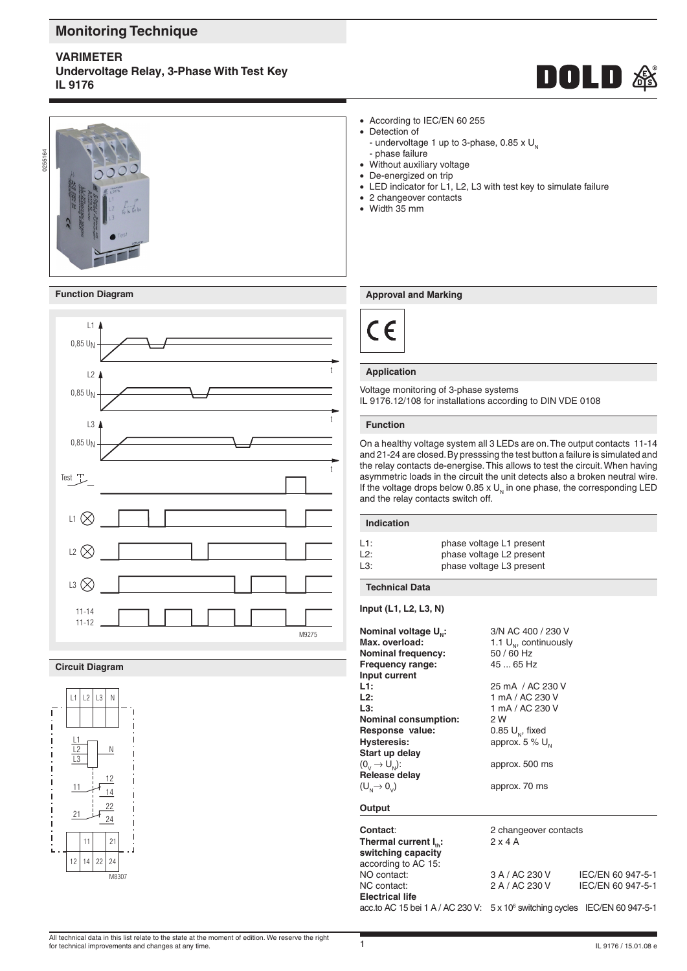# **Monitoring Technique**

## **varimeter**

**Undervoltage Relay, 3-Phase With Test Key IL 9176**







#### **Circuit Diagram**



• According to IEC/EN 60 255

- Detection of
	- undervoltage 1 up to 3-phase, 0.85 x  $U_{N}$ - phase failure
- Without auxiliary voltage
- De-energized on trip
- LED indicator for L1, L2, L3 with test key to simulate failure
- 2 changeover contacts
- Width 35 mm

#### **Function Diagram Approval and Marking**



#### **Application**

Voltage monitoring of 3-phase systems IL 9176.12/108 for installations according to DIN VDE 0108

#### **Function**

On a healthy voltage system all 3 LEDs are on. The output contacts 11-14 and 21-24 are closed. By presssing the test button a failure is simulated and the relay contacts de-energise. This allows to test the circuit. When having asymmetric loads in the circuit the unit detects also a broken neutral wire. If the voltage drops below 0.85 x  $U<sub>N</sub>$  in one phase, the corresponding LED and the relay contacts switch off.

#### **Indication**

| L1: | phase voltage L1 present |
|-----|--------------------------|
| L2: | phase voltage L2 present |
| L3: | phase voltage L3 present |

#### **Technical Data**

**Input (L1, L2, L3, N)**

| Nominal voltage U <sub>N</sub> :<br>Max. overload:<br><b>Nominal frequency:</b><br>Frequency range: | 3/N AC 400 / 230 V<br>1.1 $U_{\omega}$ , continuously<br>50 / 60 Hz<br>45  65 Hz |                   |
|-----------------------------------------------------------------------------------------------------|----------------------------------------------------------------------------------|-------------------|
| Input current                                                                                       |                                                                                  |                   |
| L1:                                                                                                 | 25 mA / AC 230 V                                                                 |                   |
| L2:                                                                                                 | 1 mA / AC 230 V                                                                  |                   |
| L3:                                                                                                 | 1 mA / AC 230 V                                                                  |                   |
| <b>Nominal consumption:</b>                                                                         | 2 W                                                                              |                   |
| Response value:                                                                                     | 0.85 $U_{\scriptscriptstyle\rm N}$ , fixed                                       |                   |
| <b>Hysteresis:</b>                                                                                  | approx. $5\%$ U <sub>N</sub>                                                     |                   |
| Start up delay                                                                                      |                                                                                  |                   |
| $(0, \rightarrow U_{\rm NL})$ :                                                                     | approx. 500 ms                                                                   |                   |
| Release delay                                                                                       |                                                                                  |                   |
| $(U_{N} \rightarrow 0_{N})$                                                                         | approx. 70 ms                                                                    |                   |
| Output                                                                                              |                                                                                  |                   |
| Contact:                                                                                            | 2 changeover contacts                                                            |                   |
| Thermal current I <sub>n</sub> :                                                                    | $2 \times 4$ A                                                                   |                   |
| switching capacity                                                                                  |                                                                                  |                   |
| according to AC 15:                                                                                 |                                                                                  |                   |
| NO contact:                                                                                         | 3 A / AC 230 V                                                                   | IEC/EN 60 947-5-1 |
| NC contact:                                                                                         | 2 A / AC 230 V                                                                   | IEC/EN 60 947-5-1 |
| <b>Electrical life</b>                                                                              |                                                                                  |                   |
| acc.to AC 15 bei 1 A / AC 230 V: 5 x 10 <sup>6</sup> switching cycles IEC/EN 60 947-5-1             |                                                                                  |                   |